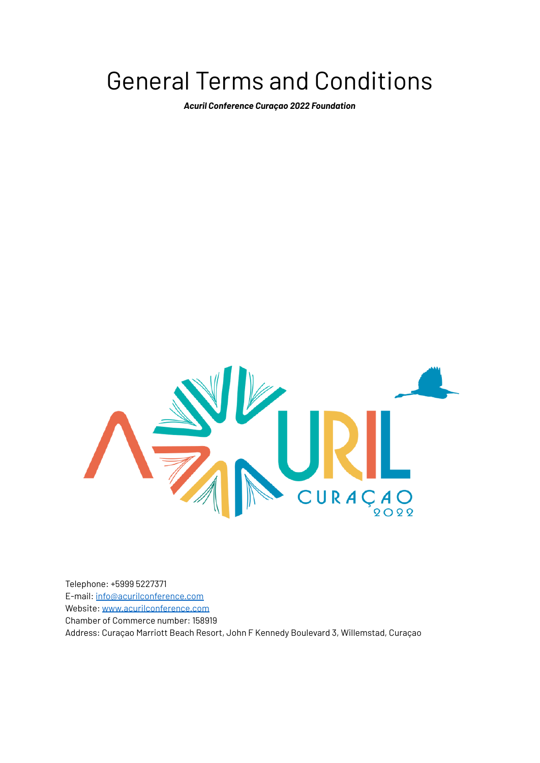# General Terms and Conditions

*Acuril Conference Curaçao 2022 Foundation*



Telephone: +5999 5227371 E-mail: [info@acurilconference.com](mailto:info@acurilconference.com) Website: [www.acurilconference.com](http://www.acurilconference.com) Chamber of Commerce number: 158919 Address: Curaçao Marriott Beach Resort, John F Kennedy Boulevard 3, Willemstad, Curaçao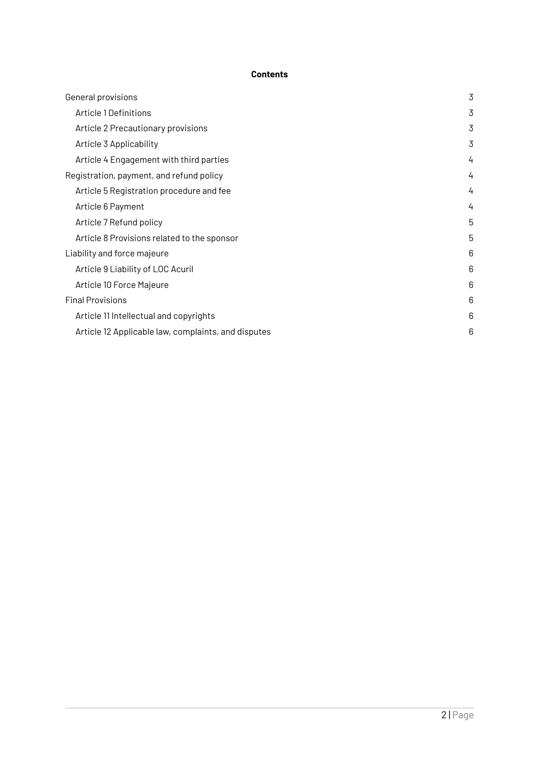# **Contents**

| General provisions                                  | 3 |
|-----------------------------------------------------|---|
| Article 1 Definitions                               | 3 |
| Article 2 Precautionary provisions                  | 3 |
| Article 3 Applicability                             | 3 |
| Article 4 Engagement with third parties             | 4 |
| Registration, payment, and refund policy            | 4 |
| Article 5 Registration procedure and fee            | 4 |
| Article 6 Payment                                   | 4 |
| Article 7 Refund policy                             | 5 |
| Article 8 Provisions related to the sponsor         | 5 |
| Liability and force majeure                         | 6 |
| Article 9 Liability of LOC Acuril                   | 6 |
| Article 10 Force Majeure                            | 6 |
| <b>Final Provisions</b>                             | 6 |
| Article 11 Intellectual and copyrights              | 6 |
| Article 12 Applicable law, complaints, and disputes | 6 |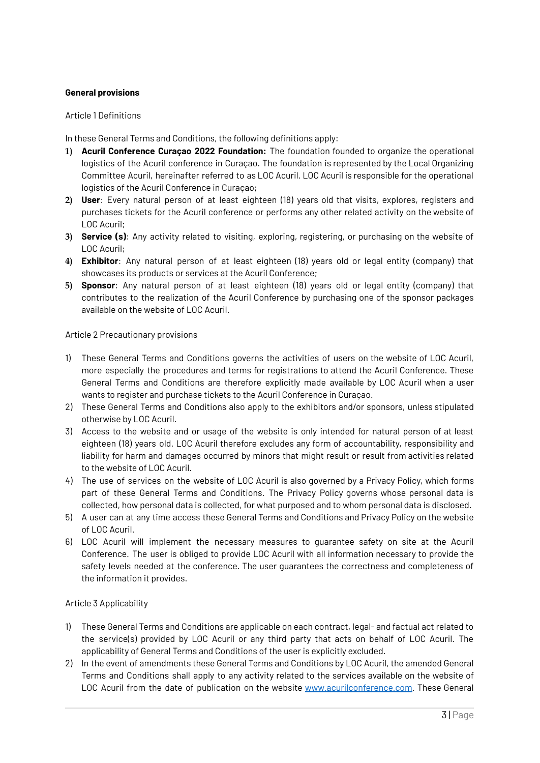## <span id="page-2-0"></span>**General provisions**

#### <span id="page-2-1"></span>Article 1 Definitions

In these General Terms and Conditions, the following definitions apply:

- **1) Acuril Conference Curaçao 2022 Foundation:** The foundation founded to organize the operational logistics of the Acuril conference in Curaçao. The foundation is represented by the Local Organizing Committee Acuril, hereinafter referred to as LOC Acuril. LOC Acuril is responsible for the operational logistics of the Acuril Conference in Curaçao;
- **2) User**: Every natural person of at least eighteen (18) years old that visits, explores, registers and purchases tickets for the Acuril conference or performs any other related activity on the website of LOC Acuril;
- **3) Service (s)**: Any activity related to visiting, exploring, registering, or purchasing on the website of LOC Acuril;
- **4) Exhibitor**: Any natural person of at least eighteen (18) years old or legal entity (company) that showcases its products or services at the Acuril Conference;
- **5) Sponsor**: Any natural person of at least eighteen (18) years old or legal entity (company) that contributes to the realization of the Acuril Conference by purchasing one of the sponsor packages available on the website of LOC Acuril.

#### <span id="page-2-2"></span>Article 2 Precautionary provisions

- 1) These General Terms and Conditions governs the activities of users on the website of LOC Acuril, more especially the procedures and terms for registrations to attend the Acuril Conference. These General Terms and Conditions are therefore explicitly made available by LOC Acuril when a user wants to register and purchase tickets to the Acuril Conference in Curaçao.
- 2) These General Terms and Conditions also apply to the exhibitors and/or sponsors, unless stipulated otherwise by LOC Acuril.
- 3) Access to the website and or usage of the website is only intended for natural person of at least eighteen (18) years old. LOC Acuril therefore excludes any form of accountability, responsibility and liability for harm and damages occurred by minors that might result or result from activities related to the website of LOC Acuril.
- 4) The use of services on the website of LOC Acuril is also governed by a Privacy Policy, which forms part of these General Terms and Conditions. The Privacy Policy governs whose personal data is collected, how personal data is collected, for what purposed and to whom personal data is disclosed.
- 5) A user can at any time access these General Terms and Conditions and Privacy Policy on the website of LOC Acuril.
- 6) LOC Acuril will implement the necessary measures to guarantee safety on site at the Acuril Conference. The user is obliged to provide LOC Acuril with all information necessary to provide the safety levels needed at the conference. The user guarantees the correctness and completeness of the information it provides.

### <span id="page-2-3"></span>Article 3 Applicability

- 1) These General Terms and Conditions are applicable on each contract, legal- and factual act related to the service(s) provided by LOC Acuril or any third party that acts on behalf of LOC Acuril. The applicability of General Terms and Conditions of the user is explicitly excluded.
- 2) In the event of amendments these General Terms and Conditions by LOC Acuril, the amended General Terms and Conditions shall apply to any activity related to the services available on the website of LOC Acuril from the date of publication on the website [www.acurilconference.com](http://www.acurilconference.com). These General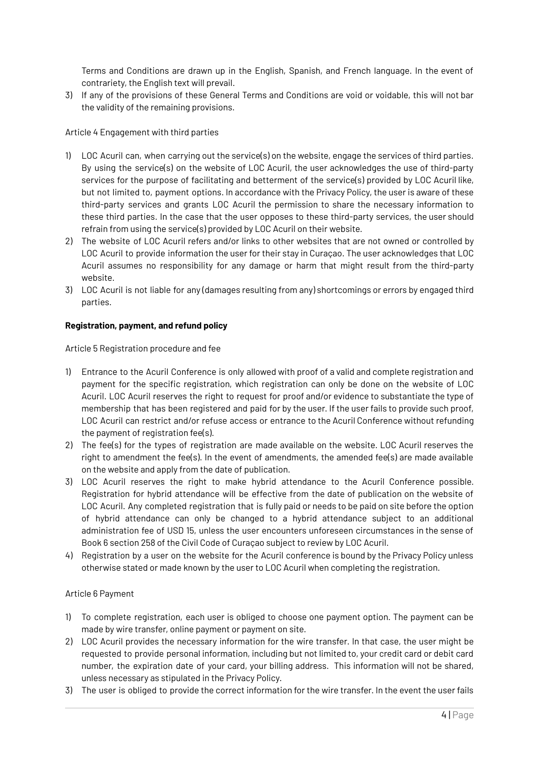Terms and Conditions are drawn up in the English, Spanish, and French language. In the event of contrariety, the English text will prevail.

3) If any of the provisions of these General Terms and Conditions are void or voidable, this will not bar the validity of the remaining provisions.

## <span id="page-3-0"></span>Article 4 Engagement with third parties

- 1) LOC Acuril can, when carrying out the service(s) on the website, engage the services of third parties. By using the service(s) on the website of LOC Acuril, the user acknowledges the use of third-party services for the purpose of facilitating and betterment of the service(s) provided by LOC Acuril like, but not limited to, payment options. In accordance with the Privacy Policy, the user is aware of these third-party services and grants LOC Acuril the permission to share the necessary information to these third parties. In the case that the user opposes to these third-party services, the user should refrain from using the service(s) provided by LOC Acuril on their website.
- 2) The website of LOC Acuril refers and/or links to other websites that are not owned or controlled by LOC Acuril to provide information the user for their stay in Curaçao. The user acknowledges that LOC Acuril assumes no responsibility for any damage or harm that might result from the third-party website.
- 3) LOC Acuril is not liable for any (damages resulting from any) shortcomings or errors by engaged third parties.

### <span id="page-3-1"></span>**Registration, payment, and refund policy**

<span id="page-3-2"></span>Article 5 Registration procedure and fee

- 1) Entrance to the Acuril Conference is only allowed with proof of a valid and complete registration and payment for the specific registration, which registration can only be done on the website of LOC Acuril. LOC Acuril reserves the right to request for proof and/or evidence to substantiate the type of membership that has been registered and paid for by the user. If the user fails to provide such proof, LOC Acuril can restrict and/or refuse access or entrance to the Acuril Conference without refunding the payment of registration fee(s).
- 2) The fee(s) for the types of registration are made available on the website. LOC Acuril reserves the right to amendment the fee(s). In the event of amendments, the amended fee(s) are made available on the website and apply from the date of publication.
- 3) LOC Acuril reserves the right to make hybrid attendance to the Acuril Conference possible. Registration for hybrid attendance will be effective from the date of publication on the website of LOC Acuril. Any completed registration that is fully paid or needs to be paid on site before the option of hybrid attendance can only be changed to a hybrid attendance subject to an additional administration fee of USD 15, unless the user encounters unforeseen circumstances in the sense of Book 6 section 258 of the Civil Code of Curaçao subject to review by LOC Acuril.
- 4) Registration by a user on the website for the Acuril conference is bound by the Privacy Policy unless otherwise stated or made known by the user to LOC Acuril when completing the registration.

### <span id="page-3-3"></span>Article 6 Payment

- 1) To complete registration, each user is obliged to choose one payment option. The payment can be made by wire transfer, online payment or payment on site.
- 2) LOC Acuril provides the necessary information for the wire transfer. In that case, the user might be requested to provide personal information, including but not limited to, your credit card or debit card number, the expiration date of your card, your billing address. This information will not be shared, unless necessary as stipulated in the Privacy Policy.
- 3) The user is obliged to provide the correct information for the wire transfer. In the event the user fails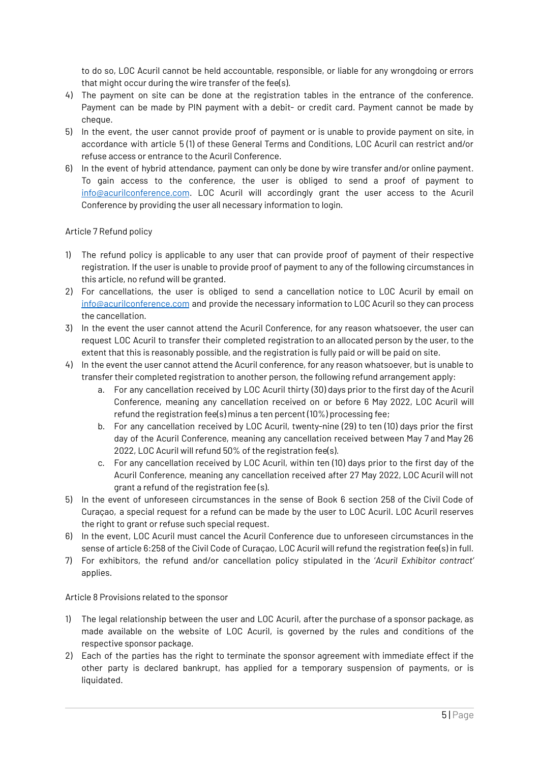to do so, LOC Acuril cannot be held accountable, responsible, or liable for any wrongdoing or errors that might occur during the wire transfer of the fee(s).

- 4) The payment on site can be done at the registration tables in the entrance of the conference. Payment can be made by PIN payment with a debit- or credit card. Payment cannot be made by cheque.
- 5) In the event, the user cannot provide proof of payment or is unable to provide payment on site, in accordance with article 5 (1) of these General Terms and Conditions, LOC Acuril can restrict and/or refuse access or entrance to the Acuril Conference.
- 6) In the event of hybrid attendance, payment can only be done by wire transfer and/or online payment. To gain access to the conference, the user is obliged to send a proof of payment to [info@acurilconference.com](mailto:info@acurilconference.com). LOC Acuril will accordingly grant the user access to the Acuril Conference by providing the user all necessary information to login.

### <span id="page-4-0"></span>Article 7 Refund policy

- 1) The refund policy is applicable to any user that can provide proof of payment of their respective registration. If the user is unable to provide proof of payment to any of the following circumstances in this article, no refund will be granted.
- 2) For cancellations, the user is obliged to send a cancellation notice to LOC Acuril by email on [info@acurilconference.com](mailto:info@acurilconference.com) and provide the necessary information to LOC Acuril so they can process the cancellation.
- 3) In the event the user cannot attend the Acuril Conference, for any reason whatsoever, the user can request LOC Acuril to transfer their completed registration to an allocated person by the user, to the extent that this is reasonably possible, and the registration is fully paid or will be paid on site.
- 4) In the event the user cannot attend the Acuril conference, for any reason whatsoever, but is unable to transfer their completed registration to another person, the following refund arrangement apply:
	- a. For any cancellation received by LOC Acuril thirty (30) days prior to the first day of the Acuril Conference, meaning any cancellation received on or before 6 May 2022, LOC Acuril will refund the registration fee(s) minus a ten percent (10%) processing fee;
	- b. For any cancellation received by LOC Acuril, twenty-nine (29) to ten (10) days prior the first day of the Acuril Conference, meaning any cancellation received between May 7 and May 26 2022, LOC Acuril will refund 50% of the registration fee(s).
	- c. For any cancellation received by LOC Acuril, within ten (10) days prior to the first day of the Acuril Conference, meaning any cancellation received after 27 May 2022, LOC Acuril will not grant a refund of the registration fee (s).
- 5) In the event of unforeseen circumstances in the sense of Book 6 section 258 of the Civil Code of Curaçao, a special request for a refund can be made by the user to LOC Acuril. LOC Acuril reserves the right to grant or refuse such special request.
- 6) In the event, LOC Acuril must cancel the Acuril Conference due to unforeseen circumstances in the sense of article 6:258 of the Civil Code of Curaçao, LOC Acuril will refund the registration fee(s) in full.
- 7) For exhibitors, the refund and/or cancellation policy stipulated in the '*Acuril Exhibitor contract'* applies.

Article 8 Provisions related to the sponsor

- 1) The legal relationship between the user and LOC Acuril, after the purchase of a sponsor package, as made available on the website of LOC Acuril, is governed by the rules and conditions of the respective sponsor package.
- 2) Each of the parties has the right to terminate the sponsor agreement with immediate effect if the other party is declared bankrupt, has applied for a temporary suspension of payments, or is liquidated.